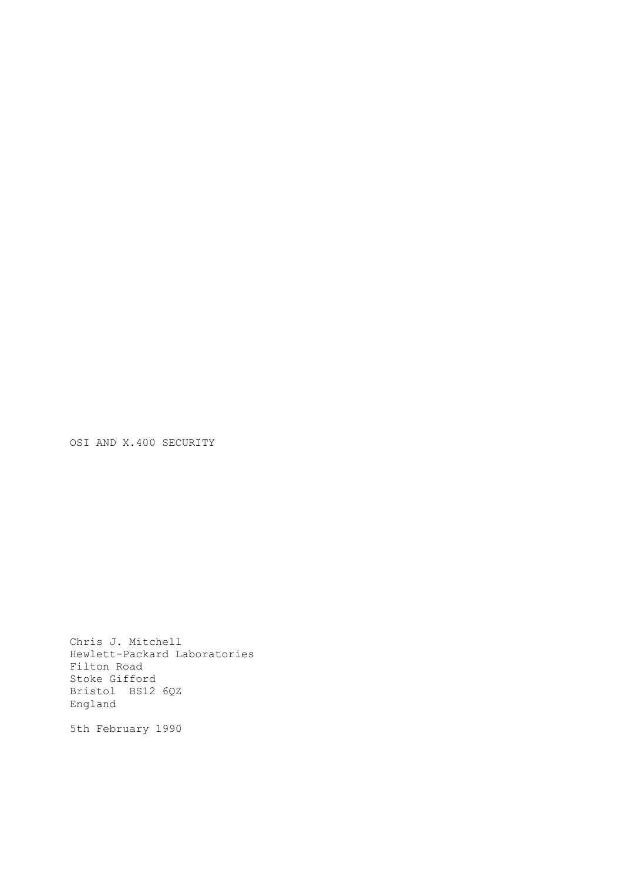OSI AND X.400 SECURITY

Chris J. Mitchell Hewlett-Packard Laboratories Filton Road Stoke Gifford Bristol BS12 6QZ England

5th February 1990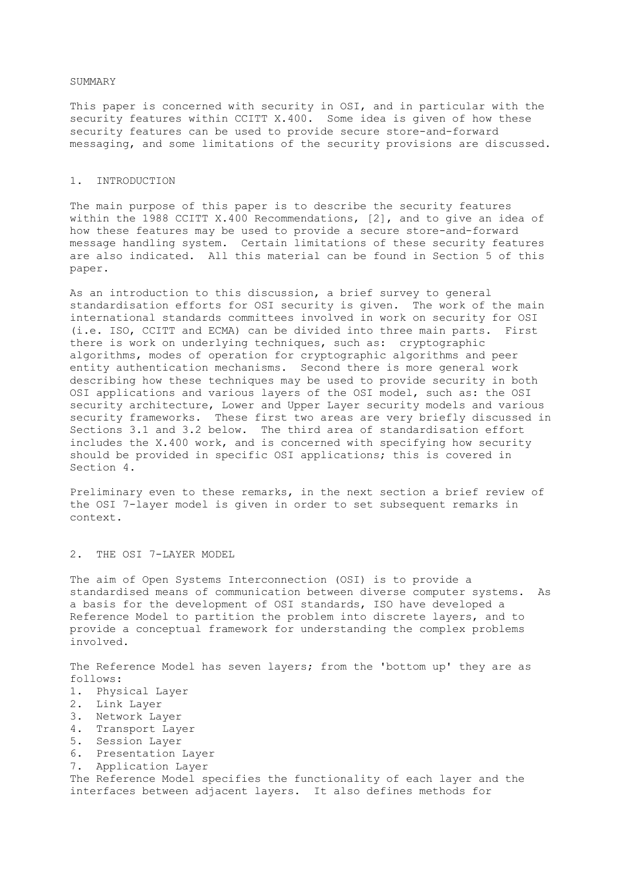#### SUMMARY

This paper is concerned with security in OSI, and in particular with the security features within CCITT X.400. Some idea is given of how these security features can be used to provide secure store-and-forward messaging, and some limitations of the security provisions are discussed.

# 1. INTRODUCTION

The main purpose of this paper is to describe the security features within the 1988 CCITT X.400 Recommendations, [2], and to give an idea of how these features may be used to provide a secure store-and-forward message handling system. Certain limitations of these security features are also indicated. All this material can be found in Section 5 of this paper.

As an introduction to this discussion, a brief survey to general standardisation efforts for OSI security is given. The work of the main international standards committees involved in work on security for OSI (i.e. ISO, CCITT and ECMA) can be divided into three main parts. First there is work on underlying techniques, such as: cryptographic algorithms, modes of operation for cryptographic algorithms and peer entity authentication mechanisms. Second there is more general work describing how these techniques may be used to provide security in both OSI applications and various layers of the OSI model, such as: the OSI security architecture, Lower and Upper Layer security models and various security frameworks. These first two areas are very briefly discussed in Sections 3.1 and 3.2 below. The third area of standardisation effort includes the X.400 work, and is concerned with specifying how security should be provided in specific OSI applications; this is covered in Section 4.

Preliminary even to these remarks, in the next section a brief review of the OSI 7-layer model is given in order to set subsequent remarks in context.

### 2. THE OSI 7-LAYER MODEL

The aim of Open Systems Interconnection (OSI) is to provide a standardised means of communication between diverse computer systems. As a basis for the development of OSI standards, ISO have developed a Reference Model to partition the problem into discrete layers, and to provide a conceptual framework for understanding the complex problems involved.

The Reference Model has seven layers; from the 'bottom up' they are as follows:

- 1. Physical Layer
- 2. Link Layer
- 3. Network Layer
- 4. Transport Layer
- 5. Session Layer
- 6. Presentation Layer
- 7. Application Layer

The Reference Model specifies the functionality of each layer and the interfaces between adjacent layers. It also defines methods for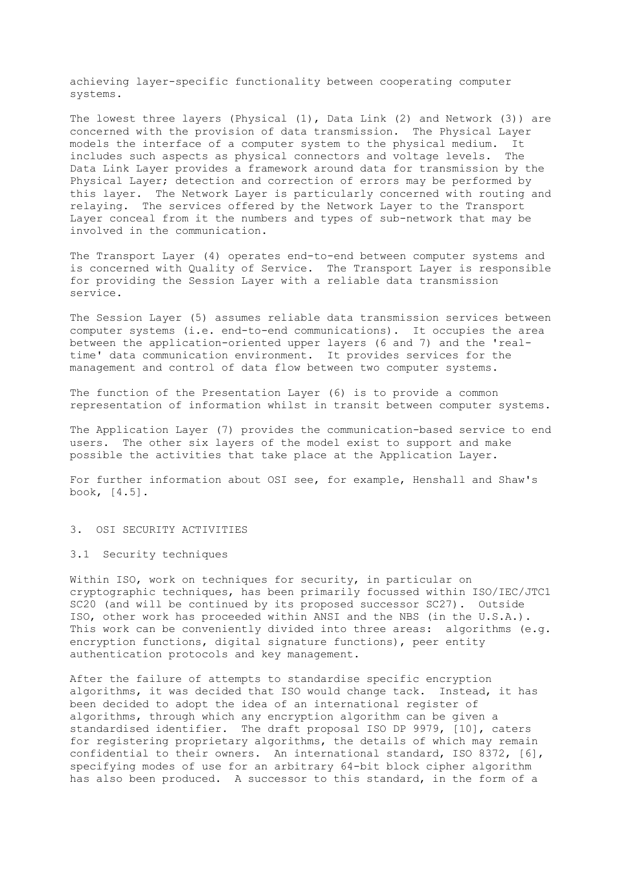achieving layer-specific functionality between cooperating computer systems.

The lowest three layers (Physical (1), Data Link (2) and Network (3)) are concerned with the provision of data transmission. The Physical Layer models the interface of a computer system to the physical medium. It includes such aspects as physical connectors and voltage levels. The Data Link Layer provides a framework around data for transmission by the Physical Layer; detection and correction of errors may be performed by this layer. The Network Layer is particularly concerned with routing and relaying. The services offered by the Network Layer to the Transport Layer conceal from it the numbers and types of sub-network that may be involved in the communication.

The Transport Layer (4) operates end-to-end between computer systems and is concerned with Quality of Service. The Transport Layer is responsible for providing the Session Layer with a reliable data transmission service.

The Session Layer (5) assumes reliable data transmission services between computer systems (i.e. end-to-end communications). It occupies the area between the application-oriented upper layers (6 and 7) and the 'realtime' data communication environment. It provides services for the management and control of data flow between two computer systems.

The function of the Presentation Layer (6) is to provide a common representation of information whilst in transit between computer systems.

The Application Layer (7) provides the communication-based service to end users. The other six layers of the model exist to support and make possible the activities that take place at the Application Layer.

For further information about OSI see, for example, Henshall and Shaw's book, [4.5].

3. OSI SECURITY ACTIVITIES

3.1 Security techniques

Within ISO, work on techniques for security, in particular on cryptographic techniques, has been primarily focussed within ISO/IEC/JTC1 SC20 (and will be continued by its proposed successor SC27). Outside ISO, other work has proceeded within ANSI and the NBS (in the U.S.A.). This work can be conveniently divided into three areas: algorithms (e.g. encryption functions, digital signature functions), peer entity authentication protocols and key management.

After the failure of attempts to standardise specific encryption algorithms, it was decided that ISO would change tack. Instead, it has been decided to adopt the idea of an international register of algorithms, through which any encryption algorithm can be given a standardised identifier. The draft proposal ISO DP 9979, [10], caters for registering proprietary algorithms, the details of which may remain confidential to their owners. An international standard, ISO 8372, [6], specifying modes of use for an arbitrary 64-bit block cipher algorithm has also been produced. A successor to this standard, in the form of a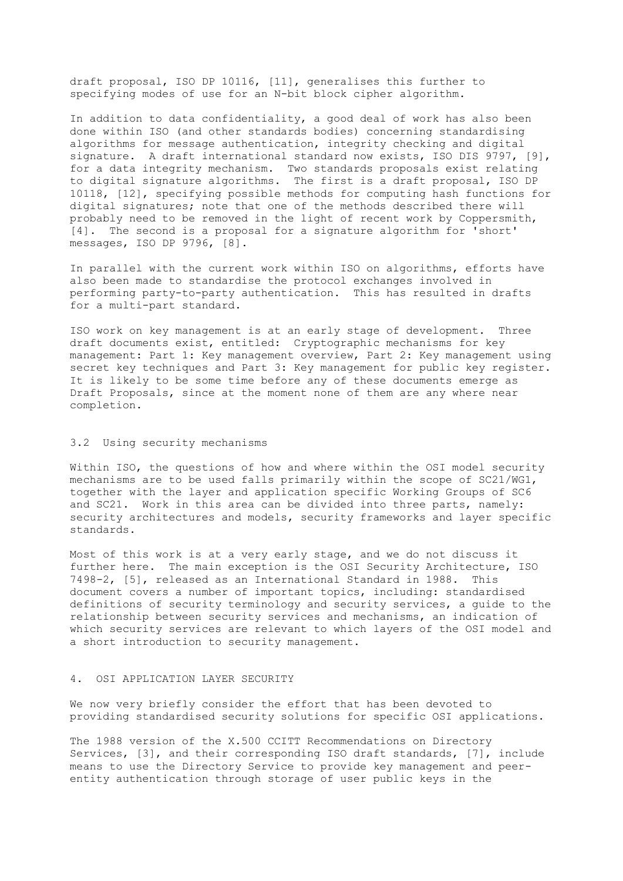draft proposal, ISO DP 10116, [11], generalises this further to specifying modes of use for an N-bit block cipher algorithm.

In addition to data confidentiality, a good deal of work has also been done within ISO (and other standards bodies) concerning standardising algorithms for message authentication, integrity checking and digital signature. A draft international standard now exists, ISO DIS 9797, [9], for a data integrity mechanism. Two standards proposals exist relating to digital signature algorithms. The first is a draft proposal, ISO DP 10118, [12], specifying possible methods for computing hash functions for digital signatures; note that one of the methods described there will probably need to be removed in the light of recent work by Coppersmith, [4]. The second is a proposal for a signature algorithm for 'short' messages, ISO DP 9796, [8].

In parallel with the current work within ISO on algorithms, efforts have also been made to standardise the protocol exchanges involved in performing party-to-party authentication. This has resulted in drafts for a multi-part standard.

ISO work on key management is at an early stage of development. Three draft documents exist, entitled: Cryptographic mechanisms for key management: Part 1: Key management overview, Part 2: Key management using secret key techniques and Part 3: Key management for public key register. It is likely to be some time before any of these documents emerge as Draft Proposals, since at the moment none of them are any where near completion.

# 3.2 Using security mechanisms

Within ISO, the questions of how and where within the OSI model security mechanisms are to be used falls primarily within the scope of SC21/WG1, together with the layer and application specific Working Groups of SC6 and SC21. Work in this area can be divided into three parts, namely: security architectures and models, security frameworks and layer specific standards.

Most of this work is at a very early stage, and we do not discuss it further here. The main exception is the OSI Security Architecture, ISO 7498-2, [5], released as an International Standard in 1988. This document covers a number of important topics, including: standardised definitions of security terminology and security services, a guide to the relationship between security services and mechanisms, an indication of which security services are relevant to which layers of the OSI model and a short introduction to security management.

# 4. OSI APPLICATION LAYER SECURITY

We now very briefly consider the effort that has been devoted to providing standardised security solutions for specific OSI applications.

The 1988 version of the X.500 CCITT Recommendations on Directory Services, [3], and their corresponding ISO draft standards, [7], include means to use the Directory Service to provide key management and peerentity authentication through storage of user public keys in the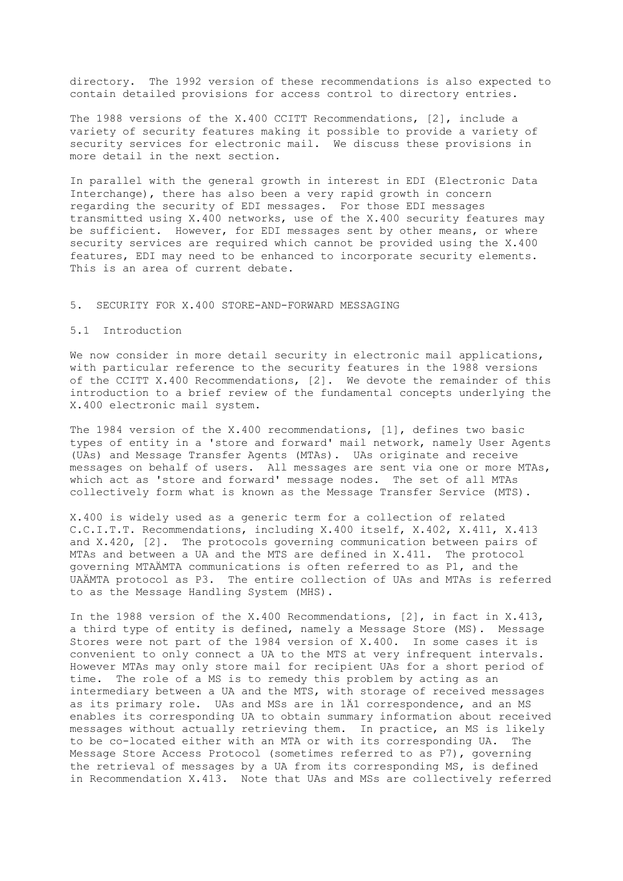directory. The 1992 version of these recommendations is also expected to contain detailed provisions for access control to directory entries.

The 1988 versions of the X.400 CCITT Recommendations, [2], include a variety of security features making it possible to provide a variety of security services for electronic mail. We discuss these provisions in more detail in the next section.

In parallel with the general growth in interest in EDI (Electronic Data Interchange), there has also been a very rapid growth in concern regarding the security of EDI messages. For those EDI messages transmitted using X.400 networks, use of the X.400 security features may be sufficient. However, for EDI messages sent by other means, or where security services are required which cannot be provided using the X.400 features, EDI may need to be enhanced to incorporate security elements. This is an area of current debate.

## 5. SECURITY FOR X.400 STORE-AND-FORWARD MESSAGING

# 5.1 Introduction

We now consider in more detail security in electronic mail applications, with particular reference to the security features in the 1988 versions of the CCITT X.400 Recommendations, [2]. We devote the remainder of this introduction to a brief review of the fundamental concepts underlying the X.400 electronic mail system.

The 1984 version of the X.400 recommendations, [1], defines two basic types of entity in a 'store and forward' mail network, namely User Agents (UAs) and Message Transfer Agents (MTAs). UAs originate and receive messages on behalf of users. All messages are sent via one or more MTAs, which act as 'store and forward' message nodes. The set of all MTAs collectively form what is known as the Message Transfer Service (MTS).

X.400 is widely used as a generic term for a collection of related C.C.I.T.T. Recommendations, including X.400 itself, X.402, X.411, X.413 and X.420, [2]. The protocols governing communication between pairs of MTAs and between a UA and the MTS are defined in X.411. The protocol governing MTAÄMTA communications is often referred to as P1, and the UAÄMTA protocol as P3. The entire collection of UAs and MTAs is referred to as the Message Handling System (MHS).

In the 1988 version of the X.400 Recommendations, [2], in fact in X.413, a third type of entity is defined, namely a Message Store (MS). Message Stores were not part of the 1984 version of X.400. In some cases it is convenient to only connect a UA to the MTS at very infrequent intervals. However MTAs may only store mail for recipient UAs for a short period of time. The role of a MS is to remedy this problem by acting as an intermediary between a UA and the MTS, with storage of received messages as its primary role. UAs and MSs are in 1Ä1 correspondence, and an MS enables its corresponding UA to obtain summary information about received messages without actually retrieving them. In practice, an MS is likely to be co-located either with an MTA or with its corresponding UA. The Message Store Access Protocol (sometimes referred to as P7), governing the retrieval of messages by a UA from its corresponding MS, is defined in Recommendation X.413. Note that UAs and MSs are collectively referred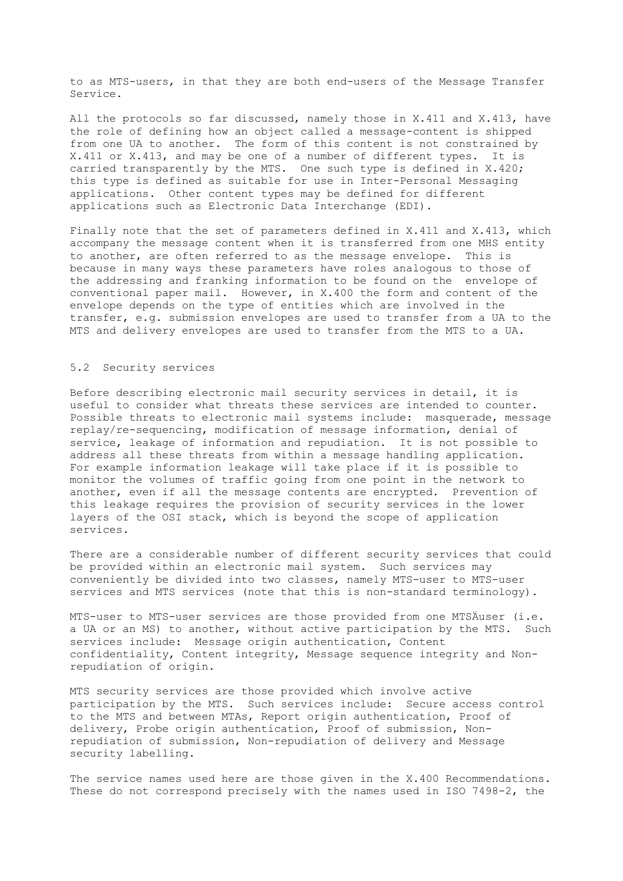to as MTS-users, in that they are both end-users of the Message Transfer Service.

All the protocols so far discussed, namely those in X.411 and X.413, have the role of defining how an object called a message-content is shipped from one UA to another. The form of this content is not constrained by X.411 or X.413, and may be one of a number of different types. It is carried transparently by the MTS. One such type is defined in X.420; this type is defined as suitable for use in Inter-Personal Messaging applications. Other content types may be defined for different applications such as Electronic Data Interchange (EDI).

Finally note that the set of parameters defined in X.411 and X.413, which accompany the message content when it is transferred from one MHS entity to another, are often referred to as the message envelope. This is because in many ways these parameters have roles analogous to those of the addressing and franking information to be found on the envelope of conventional paper mail. However, in X.400 the form and content of the envelope depends on the type of entities which are involved in the transfer, e.g. submission envelopes are used to transfer from a UA to the MTS and delivery envelopes are used to transfer from the MTS to a UA.

#### 5.2 Security services

Before describing electronic mail security services in detail, it is useful to consider what threats these services are intended to counter. Possible threats to electronic mail systems include: masquerade, message replay/re-sequencing, modification of message information, denial of service, leakage of information and repudiation. It is not possible to address all these threats from within a message handling application. For example information leakage will take place if it is possible to monitor the volumes of traffic going from one point in the network to another, even if all the message contents are encrypted. Prevention of this leakage requires the provision of security services in the lower layers of the OSI stack, which is beyond the scope of application services.

There are a considerable number of different security services that could be provided within an electronic mail system. Such services may conveniently be divided into two classes, namely MTS-user to MTS-user services and MTS services (note that this is non-standard terminology).

MTS-user to MTS-user services are those provided from one MTSÄuser (i.e. a UA or an MS) to another, without active participation by the MTS. Such services include: Message origin authentication, Content confidentiality, Content integrity, Message sequence integrity and Nonrepudiation of origin.

MTS security services are those provided which involve active participation by the MTS. Such services include: Secure access control to the MTS and between MTAs, Report origin authentication, Proof of delivery, Probe origin authentication, Proof of submission, Nonrepudiation of submission, Non-repudiation of delivery and Message security labelling.

The service names used here are those given in the X.400 Recommendations. These do not correspond precisely with the names used in ISO 7498-2, the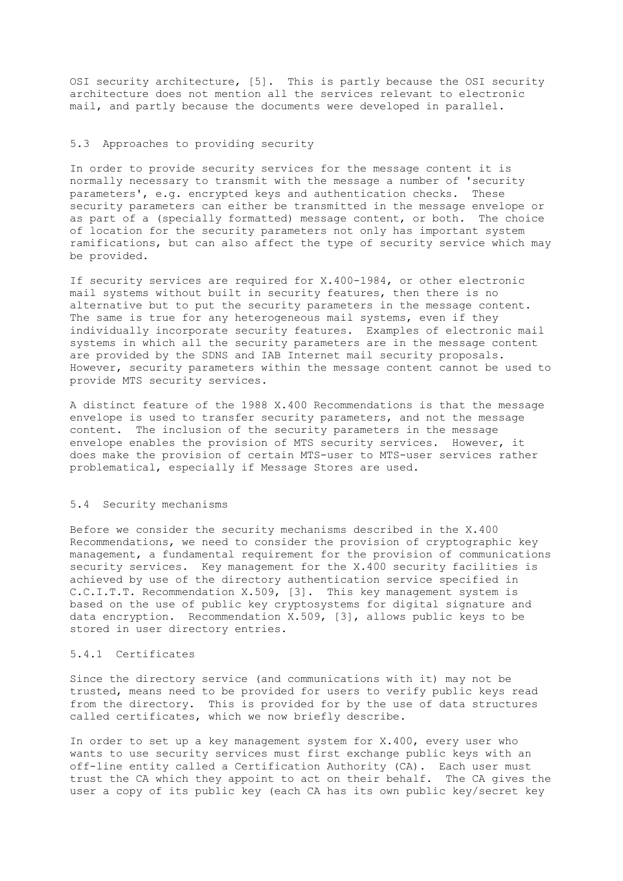OSI security architecture, [5]. This is partly because the OSI security architecture does not mention all the services relevant to electronic mail, and partly because the documents were developed in parallel.

## 5.3 Approaches to providing security

In order to provide security services for the message content it is normally necessary to transmit with the message a number of 'security parameters', e.g. encrypted keys and authentication checks. These security parameters can either be transmitted in the message envelope or as part of a (specially formatted) message content, or both. The choice of location for the security parameters not only has important system ramifications, but can also affect the type of security service which may be provided.

If security services are required for X.400-1984, or other electronic mail systems without built in security features, then there is no alternative but to put the security parameters in the message content. The same is true for any heterogeneous mail systems, even if they individually incorporate security features. Examples of electronic mail systems in which all the security parameters are in the message content are provided by the SDNS and IAB Internet mail security proposals. However, security parameters within the message content cannot be used to provide MTS security services.

A distinct feature of the 1988 X.400 Recommendations is that the message envelope is used to transfer security parameters, and not the message content. The inclusion of the security parameters in the message envelope enables the provision of MTS security services. However, it does make the provision of certain MTS-user to MTS-user services rather problematical, especially if Message Stores are used.

#### 5.4 Security mechanisms

Before we consider the security mechanisms described in the X.400 Recommendations, we need to consider the provision of cryptographic key management, a fundamental requirement for the provision of communications security services. Key management for the X.400 security facilities is achieved by use of the directory authentication service specified in C.C.I.T.T. Recommendation X.509, [3]. This key management system is based on the use of public key cryptosystems for digital signature and data encryption. Recommendation X.509, [3], allows public keys to be stored in user directory entries.

#### 5.4.1 Certificates

Since the directory service (and communications with it) may not be trusted, means need to be provided for users to verify public keys read from the directory. This is provided for by the use of data structures called certificates, which we now briefly describe.

In order to set up a key management system for X.400, every user who wants to use security services must first exchange public keys with an off-line entity called a Certification Authority (CA). Each user must trust the CA which they appoint to act on their behalf. The CA gives the user a copy of its public key (each CA has its own public key/secret key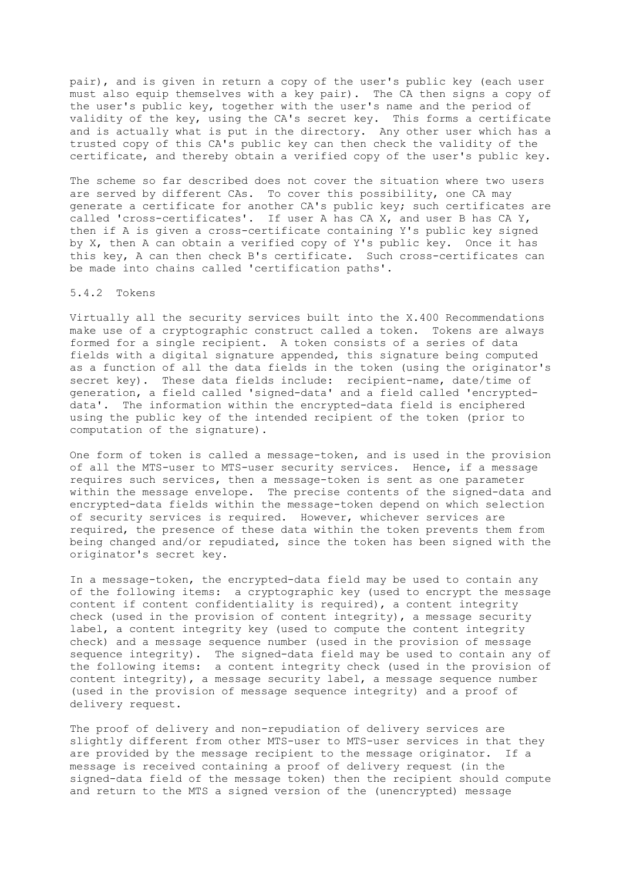pair), and is given in return a copy of the user's public key (each user must also equip themselves with a key pair). The CA then signs a copy of the user's public key, together with the user's name and the period of validity of the key, using the CA's secret key. This forms a certificate and is actually what is put in the directory. Any other user which has a trusted copy of this CA's public key can then check the validity of the certificate, and thereby obtain a verified copy of the user's public key.

The scheme so far described does not cover the situation where two users are served by different CAs. To cover this possibility, one CA may generate a certificate for another CA's public key; such certificates are called 'cross-certificates'. If user A has CA X, and user B has CA Y, then if A is given a cross-certificate containing Y's public key signed by X, then A can obtain a verified copy of Y's public key. Once it has this key, A can then check B's certificate. Such cross-certificates can be made into chains called 'certification paths'.

# 5.4.2 Tokens

Virtually all the security services built into the X.400 Recommendations make use of a cryptographic construct called a token. Tokens are always formed for a single recipient. A token consists of a series of data fields with a digital signature appended, this signature being computed as a function of all the data fields in the token (using the originator's secret key). These data fields include: recipient-name, date/time of generation, a field called 'signed-data' and a field called 'encrypteddata'. The information within the encrypted-data field is enciphered using the public key of the intended recipient of the token (prior to computation of the signature).

One form of token is called a message-token, and is used in the provision of all the MTS-user to MTS-user security services. Hence, if a message requires such services, then a message-token is sent as one parameter within the message envelope. The precise contents of the signed-data and encrypted-data fields within the message-token depend on which selection of security services is required. However, whichever services are required, the presence of these data within the token prevents them from being changed and/or repudiated, since the token has been signed with the originator's secret key.

In a message-token, the encrypted-data field may be used to contain any of the following items: a cryptographic key (used to encrypt the message content if content confidentiality is required), a content integrity check (used in the provision of content integrity), a message security label, a content integrity key (used to compute the content integrity check) and a message sequence number (used in the provision of message sequence integrity). The signed-data field may be used to contain any of the following items: a content integrity check (used in the provision of content integrity), a message security label, a message sequence number (used in the provision of message sequence integrity) and a proof of delivery request.

The proof of delivery and non-repudiation of delivery services are slightly different from other MTS-user to MTS-user services in that they are provided by the message recipient to the message originator. If a message is received containing a proof of delivery request (in the signed-data field of the message token) then the recipient should compute and return to the MTS a signed version of the (unencrypted) message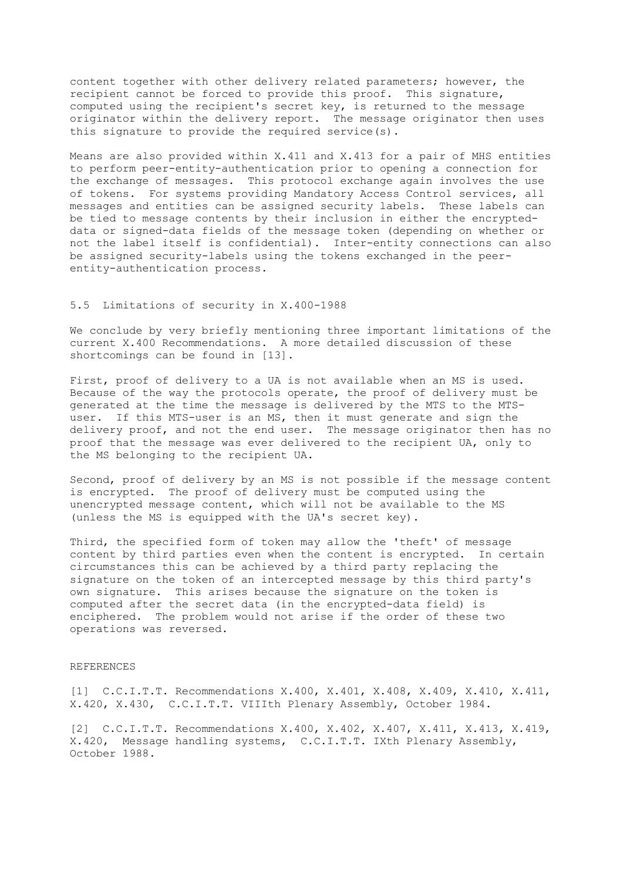content together with other delivery related parameters; however, the recipient cannot be forced to provide this proof. This signature, computed using the recipient's secret key, is returned to the message originator within the delivery report. The message originator then uses this signature to provide the required service(s).

Means are also provided within X.411 and X.413 for a pair of MHS entities to perform peer-entity-authentication prior to opening a connection for the exchange of messages. This protocol exchange again involves the use of tokens. For systems providing Mandatory Access Control services, all messages and entities can be assigned security labels. These labels can be tied to message contents by their inclusion in either the encrypteddata or signed-data fields of the message token (depending on whether or not the label itself is confidential). Inter-entity connections can also be assigned security-labels using the tokens exchanged in the peerentity-authentication process.

## 5.5 Limitations of security in X.400-1988

We conclude by very briefly mentioning three important limitations of the current X.400 Recommendations. A more detailed discussion of these shortcomings can be found in [13].

First, proof of delivery to a UA is not available when an MS is used. Because of the way the protocols operate, the proof of delivery must be generated at the time the message is delivered by the MTS to the MTSuser. If this MTS-user is an MS, then it must generate and sign the delivery proof, and not the end user. The message originator then has no proof that the message was ever delivered to the recipient UA, only to the MS belonging to the recipient UA.

Second, proof of delivery by an MS is not possible if the message content is encrypted. The proof of delivery must be computed using the unencrypted message content, which will not be available to the MS (unless the MS is equipped with the UA's secret key).

Third, the specified form of token may allow the 'theft' of message content by third parties even when the content is encrypted. In certain circumstances this can be achieved by a third party replacing the signature on the token of an intercepted message by this third party's own signature. This arises because the signature on the token is computed after the secret data (in the encrypted-data field) is enciphered. The problem would not arise if the order of these two operations was reversed.

### REFERENCES

[1] C.C.I.T.T. Recommendations X.400, X.401, X.408, X.409, X.410, X.411, X.420, X.430, C.C.I.T.T. VIIIth Plenary Assembly, October 1984.

[2] C.C.I.T.T. Recommendations X.400, X.402, X.407, X.411, X.413, X.419, X.420, Message handling systems, C.C.I.T.T. IXth Plenary Assembly, October 1988.